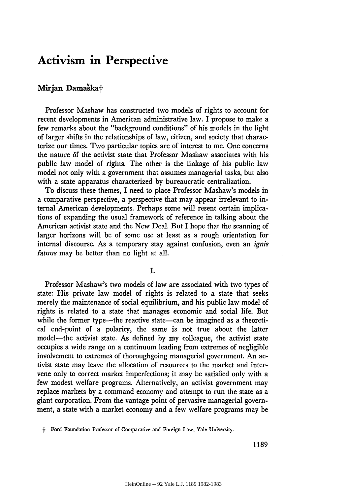## **Activism in Perspective**

## Mirjan Damaska<sup>+</sup>

Professor Mashaw has constructed two models of rights to account for recent developments in American administrative law. I propose to make a few remarks about the "background conditions" of his models in the light of larger shifts in the relationships of law, citizen, and society that characterize our times. Two particular topics are of interest to me. One concerns the nature of the activist state that Professor Mashaw associates with his public law model of rights. The other is the linkage of his public law model not only with a government that assumes managerial tasks, but also with a state apparatus characterized by bureaucratic centralization.

To discuss these themes, I need to place Professor Mashaw's models in a comparative perspective, a perspective that may appear irrelevant to internal American developments. Perhaps some will resent certain implications of expanding the usual framework of reference in talking about the American activist state and the New Deal. But I hope that the scanning of larger horizons will be of some use at least as a rough orientation for internal discourse. As a temporary stay against confusion, even an *ignis fatuus* may be better than no light at all.

I.

Professor Mashaw's two models of law are associated with two types of state: His private law model of rights is related to a state that seeks merely the maintenance of social equilibrium, and his public law model of rights is related to a state that manages economic and social life. But while the former type-the reactive state-can be imagined as a theoretical end-point of a polarity, the same is not true about the latter model—the activist state. As defined by my colleague, the activist state occupies a wide range on a continuum leading from extremes of negligible involvement to extremes of thoroughgoing managerial government. An activist state may leave the allocation of resources to the market and intervene only to correct market imperfections; it may be satisfied only with a few modest welfare programs. Alternatively, an activist government may replace markets **by** a command economy and attempt to run the state as a giant corporation. From the vantage point of pervasive managerial government, a state with a market economy and a few welfare programs may be

t Ford Foundation Professor of Comparative and Foreign Law, Yale University.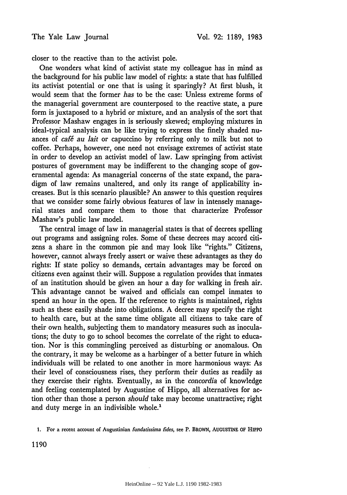closer to the reactive than to the activist pole.

One wonders what kind of activist state my colleague has in mind as the background for his public law model of rights: a state that has fulfilled its activist potential or one that is using it sparingly? At first blush, it would seem that the former *has* to be the case: Unless extreme forms of the managerial government are counterposed to the reactive state, a pure form is juxtaposed to a hybrid or mixture, and an analysis of the sort that Professor Mashaw engages in is seriously skewed; employing mixtures in ideal-typical analysis can be like trying to express the finely shaded nuances of *café au lait* or capuccino by referring only to milk but not to coffee. Perhaps, however, one need not envisage extremes of activist state in order to develop an activist model of law. Law springing from activist postures of government may be indifferent to the changing scope of governmental agenda: As managerial concerns of the state expand, the paradigm of law remains unaltered, and only its range of applicability increases. But is this scenario plausible? An answer to this question requires that we consider some fairly obvious features of law in intensely managerial states and compare them to those that characterize Professor Mashaw's public law model.

The central image of law in managerial states is that of decrees spelling out programs and assigning roles. Some of these decrees may accord citizens a share in the common pie and may look like "rights." Citizens, however, cannot always freely assert or waive these advantages as they do rights: If state policy so demands, certain advantages may be forced on citizens even against their will. Suppose a regulation provides that inmates of an institution should be given an hour a day for walking in fresh air. This advantage cannot be waived and officials can compel inmates to spend an hour in the open. If the reference to rights is maintained, rights such as these easily shade into obligations. A decree may specify the right to health care, but at the same time obligate all citizens to take care of their own health, subjecting them to mandatory measures such as inoculations; the duty to go to school becomes the correlate of the right to education. Nor is this commingling perceived as disturbing or anomalous. On the contrary, it may be welcome as a harbinger of a better future in which individuals will be related to one another in more harmonious ways: As their level of consciousness rises, they perform their duties as readily as they exercise their rights. Eventually, as in the *concordia* of knowledge and feeling contemplated by Augustine of Hippo, all alternatives for action other than those a person *should* take may become unattractive; right and duty merge in an indivisible whole.'

**<sup>1.</sup>** For a recent account of Augustinian *fundatissima fides,* see P. BROWN, **AUGUSTINE** OF HIPPO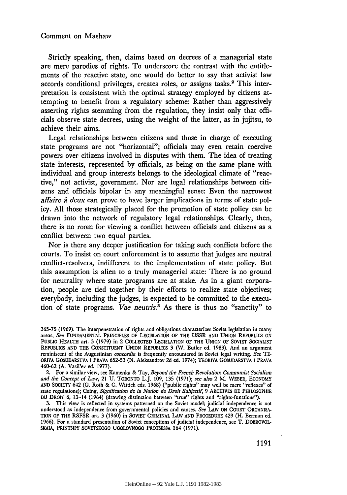## Comment on Mashaw

Strictly speaking, then, claims based on decrees of a managerial state are mere parodies of rights. To underscore the contrast with the entitlements of the reactive state, one would do better to say that activist law accords conditional privileges, creates roles, or assigns tasks.<sup>2</sup> This interpretation is consistent with the optimal strategy employed by citizens attempting to benefit from a regulatory scheme: Rather than aggressively asserting rights stemming from the regulation, they insist only that officials observe state decrees, using the weight of the latter, as in jujitsu, to achieve their aims.

Legal relationships between citizens and those in charge of executing state programs are not "horizontal"; officials may even retain coercive powers over citizens involved in disputes with them. The idea of treating state interests, represented by officials, as being on the same plane with individual and group interests belongs to the ideological climate of "reactive," not activist, government. Nor are legal relationships between citizens and officials bipolar in any meaningful sense: Even the narrowest *affaire à deux can prove to have larger implications in terms of state pol*icy. All those strategically placed for the promotion of state policy can be drawn into the network of regulatory legal relationships. Clearly, then, there is no room for viewing a conflict between officials and citizens as a conflict between two equal parties.

Nor is there any deeper justification for taking such conflicts before the courts. To insist on court enforcement is to assume that judges are neutral conflict-resolvers, indifferent to the implementation of state policy. But this assumption is alien to a truly managerial state: There is no ground for neutrality where state programs are at stake. As in a giant corporation, people are tied together by their efforts to realize state objectives; everybody, including the judges, is expected to be committed to the execution of state programs. *Vae neutris.3* As there is thus no "sanctity" to

2. For a similar view, see Kamenka & Tay, *Beyond the French Revolution: Communist Socialism and the Concept of Law,* 21 **U.** TORONTO L.J. **109, 135 (1971);** *see also* 2 M. WEBER, **ECONOMY AND** SOCIETY 642 **(G.** Roth & **C.** Wittich eds. **1968)** ("public rights" may well be mere "reflexes" of state regulations); Coing, *Signification de la Notion de Droit Subjectif,* **9** ARCHIVES **DE** PHILOSOPHIE **DU** DROIT **6,** 13-14 (1964) (drawing distinction between "true" rights and "rights-functions").

**3.** This view is reflected in systems patterned on the Soviet model; judicial independence is not understood as independence from governmental policies and causes. *See* LAW **ON COURT ORGANISA-TION** OF THE RSFSR art. **3 (1960)** in **SOVIET** CRIMINAL LAW **AND** PROCEDURE 429 (H. Berman ed. **1966).** For a standard presentation of Soviet conceptions of judicial independence, see T. DOBROVOL-**SKAIA,** PRINTSIPY SOVETSKOGO **UGOLOVNOGO PROTSESSA** 164 (1971).

**<sup>365-75</sup>** (1969). The interpenetration of rights and obligations characterizes Soviet legislation in many areas. *See* **FUNDAMENTAL** PRINCIPLES OF **LEGISLATION** OF THE USSR **AND UNION REPUBLICS ON PUBLIC** HEALTH art. **3 (1979)** in 2 COLLECTED LEGISLATION OF THE **UNION** OF **SOVIET SOCIALIST REPUBLICS AND** THE **CONSTITUENT UNION** REPUBLICS 3 (W. Butler **ed. 1983).** And an argument reminiscent of the Augustinian *concordia* is frequently encountered in Soviet legal writing. *See* **TE-**ORIYA **GOSUDARSTVA I** PRAVA **652-53 (N.** Aleksandrov **2d ed.** 1974); TEORIYA **GOSUDARSTVA I** PRAVA 460-62 **(A.** Vasil'ev ed. **1977).**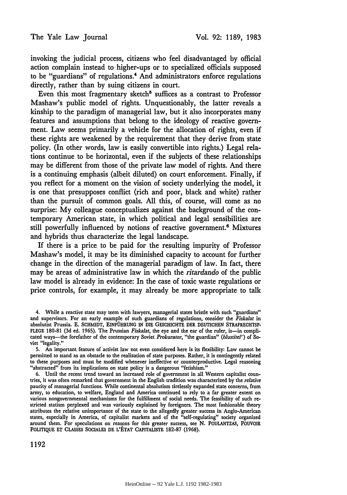invoking the judicial process, citizens who feel disadvantaged **by** official action complain instead to higher-ups or to specialized officials supposed to be "guardians" of regulations.<sup>4</sup> And administrators enforce regulations directly, rather than **by** suing citizens in court.

Even this most fragmentary sketch<sup>5</sup> suffices as a contrast to Professor Mashaw's public model of rights. Unquestionably, the latter reveals a kinship to the paradigm of managerial law, but it also incorporates many features and assumptions that belong to the ideology of reactive government. Law seems primarily a vehicle for the allocation of rights, even if these rights are weakened **by** the requirement that they derive from state policy. (In other words, law is easily convertible into rights.) Legal relations continue to be horizontal, even if the subjects of these relationships may be different from those of the private law model of rights. And there is a continuing emphasis (albeit diluted) on court enforcement. Finally, if you reflect for a moment on the vision of society underlying the model, it is one that presupposes conflict (rich and poor, black and white) rather than the pursuit of common goals. **All** this, of course, will come as no surprise: **My** colleague conceptualizes against the background of the contemporary American state, in which political and legal sensibilities are still powerfully influenced **by** notions of reactive government.6 Mixtures and hybrids thus characterize the legal landscape.

**If** there is a price to be paid for the resulting impurity of Professor Mashaw's model, it may be its diminished capacity to account for further change in the direction of the managerial paradigm of law. In fact, there may be areas of administrative law in which the *ritardando* of the public law model is already in evidence: In the case of toxic waste regulations or price controls, for example, it may already be more appropriate to talk

<sup>4.</sup> While a reactive state may teem with lawyers, managerial states bristle with such "guardians" and supervisors. For an early example of such guardians of regulations, consider the *Fiskalat* in absolutist Prussia. **E. SCHMIDT, EINFOHRUNG IN DIE GESCHICHTE** DER DEUTSCHEN STRAFRECHTSP-**FLEGE 180-81 (3d** ed. **1965).** The Prussian *Fiskalat,* the eye and the **ear** of the ruler, is-in complicated ways-the forefather of the contemporary Soviet *Prokurator,* "the guardian" *(blustitel')* of Soviet "legality."

**<sup>5.</sup>** An important feature of activist law not even considered here is its flexibility: Law cannot **be** permitted to stand as an obstacle to the realization of state purposes. Rather, it is contingently related to these purposes and must be modified whenever ineffective or counterproductive. Legal reasoning "abstracted" from its implications on state policy is a dangerous "fetishism."

**<sup>6.</sup>** Until the recent trend toward an increased role of government in all Western capitalist countries, it was often remarked that government in the English tradition was characterized **by** the *relative* paucity of managerial functions. While continental absolutism tirelessly expanded state concerns, from army, to education, to welfare, England and America continued to rely to a far greater extent on various nongovernmental mechanisms for the fulfillment of social needs. The feasibility of such **re**stricted statism perplexed and was variously explained **by** foreigners. The most fashionable theory attributes the relative unimportance of the state to the allegedly greater success in Anglo-American states, especially in America, of capitalist markets and **of** the "self-regulating" society organized around them. **For** speculations on reasons for this greater success, see **N. POULANTZAS,** POUVOIR **POLITIQUE** ET **CLASSES SOCIALES DE L'ETAT CAPITALISTE 182-87 (1968).**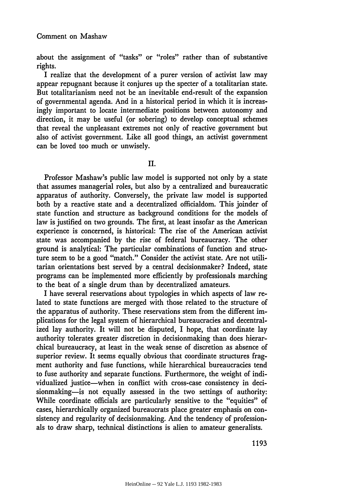about the assignment of "tasks" or "roles" rather than of substantive rights.

I realize that the development of a purer version of activist law may appear repugnant because it conjures up the specter of a totalitarian state. But totalitarianism need not be an inevitable end-result of the expansion of governmental agenda. And in a historical period in which it is increasingly important to locate intermediate positions between autonomy and direction, it may be useful (or sobering) to develop conceptual schemes that reveal the unpleasant extremes not only of reactive government but also of activist government. Like all good things, an activist government can be loved too much or unwisely.

II.

Professor Mashaw's public law model is supported not only by a state that assumes managerial roles, but also by a centralized and bureaucratic apparatus of authority. Conversely, the private law model is supported both by a reactive state and a decentralized officialdom. This joinder of state function and structure as background conditions for the models of law is justified on two grounds. The first, at least insofar as the American experience is concerned, is historical: The rise of the American activist state was accompanied by the rise of federal bureaucracy. The other ground is analytical: The particular combinations of function and structure seem to be a good "match." Consider the activist state. Are not utilitarian orientations best served by a central decisionmaker? Indeed, state programs can be implemented more efficiently by professionals marching to the beat of a single drum than by decentralized amateurs.

I have several reservations about typologies in which aspects of law related to state functions are merged with those related to the structure of the apparatus of authority. These reservations stem from the different implications for the legal system of hierarchical bureaucracies and decentralized lay authority. It will not be disputed, I hope, that coordinate lay authority tolerates greater discretion in decisionmaking than does hierarchical bureaucracy, at least in the weak sense of discretion as absence of superior review. It seems equally obvious that coordinate structures fragment authority and fuse functions, while hierarchical bureaucracies tend to fuse authority and separate functions. Furthermore, the weight of individualized justice-when in conflict with cross-case consistency in decisionmaking- is not equally assessed in the two settings of authority: While coordinate officials are particularly sensitive to the "equities" of cases, hierarchically organized bureaucrats place greater emphasis on consistency and regularity of decisionmaking. And the tendency of professionals to draw sharp, technical distinctions is alien to amateur generalists.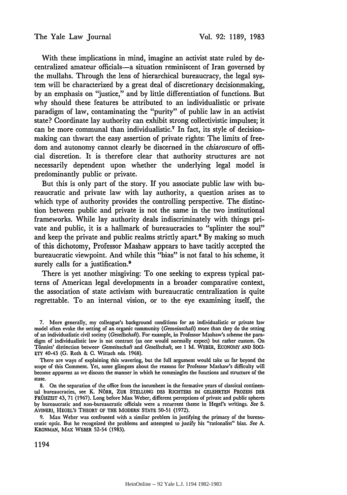With these implications in mind, imagine an activist state ruled by decentralized amateur officials-a situation reminiscent of Iran governed by the mullahs. Through the lens of hierarchical bureaucracy, the legal system will be characterized **by** a great deal of discretionary decisionmaking, **by** an emphasis on "justice," and by little differentiation of functions. But why should these features be attributed to an individualistic or private paradigm of law, contaminating the "purity" of public law in an activist state? Coordinate lay authority can exhibit strong collectivistic impulses; it can be more communal than individualistic.' In fact, its style of decisionmaking can thwart the easy assertion of private rights: The limits of freedom and autonomy cannot clearly be discerned in the *chiaroscuro* of official discretion. It is therefore clear that authority structures are not necessarily dependent upon whether the underlying legal model is predominantly public or private.

But this is only part of the story. If you associate public law with bureaucratic and private law with lay authority, a question arises as to which type of authority provides the controlling perspective. The distinction between public and private is not the same in the two institutional frameworks. While lay authority deals indiscriminately with things private and public, it is a hallmark of bureaucracies to "splinter the soul" and keep the private and public realms strictly apart.<sup>8</sup> By making so much of this dichotomy, Professor Mashaw appears to have tacitly accepted the bureaucratic viewpoint. And while this "bias" is not fatal to his scheme, it surely calls for a justification.<sup>9</sup>

There is yet another misgiving: To one seeking to express typical patterns of American legal developments in a broader comparative context, the association of state activism with bureaucratic centralization is quite regrettable. To an internal vision, or to the eye examining itself, the

There are ways of explaining this wavering, but the full argument would take us far beyond the scope of this Comment. Yet, some glimpses about the reasons for Professor Mashaw's difficulty will become apparent as we discuss the manner in which he commingles the functions and structure of the state.

**8.** On the separation of the office from the incumbent in the formative years of classical continental bureaucracies, see K. NORR, ZUR **STELLUNG** DES RICHTERS IM **GELEHRTEN** PROZESS DER FROHZEIT 43, 71 (1967). Long before Max Weber, different perceptions of private and public spheres by bureaucratic and non-bureaucratic officials were a recurrent theme in Hegel's writings. *See S.* AVINERI, HEGEL'S THEORY OF THE MODERN STATE 50-51 (1972).

9. Max Weber was confronted with a similar problem in justifying the primacy of the bureaucratic optic. But he recognized the problems and attempted to justify his "rationalist" bias. *See* A. KRONMAN, MAX WEBER 52-54 (1983).

<sup>7.</sup> More generally, my colleague's background conditions for an individualistic or private law model often evoke the setting of an organic community *(Gemeinschaft)* more than they do the setting of an individualistic civil society *(Gesellschaft).* For example, in Professor Mashaw's scheme the paradigm of individualistic law is not contract (as one would normally expect) but rather custom. On T6nnies' distinction betweer *Gemeinschaft* and *Gesellschaft,* see **1** M. WEBER, ECONOMY AND **SOCI-**ETY 40-43 (G. Roth & **C.** Wittach eds. 1968).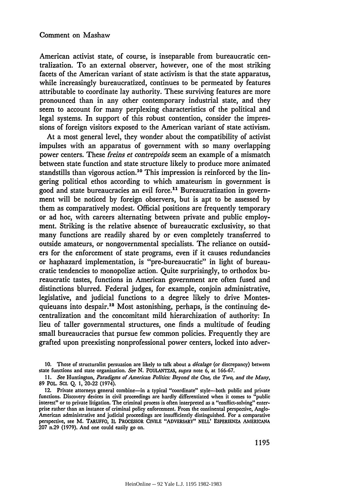American activist state, of course, is inseparable from bureaucratic centralization. To an external observer, however, one of the most striking facets of the American variant of state activism is that the state apparatus, while increasingly bureaucratized, continues to be permeated by features attributable to coordinate lay authority. These surviving features are more pronounced than in any other contemporary industrial state, and they seem to account for many perplexing characteristics of the political and legal systems. In support of this robust contention, consider the impressions of foreign visitors exposed to the American variant of state activism.

At a most general level, they wonder about the compatibility of activist impulses with an apparatus of government with so many overlapping power centers. These *freins et contrepoids* seem an example of a mismatch between state function and state structure likely to produce more animated standstills than vigorous action.<sup>10</sup> This impression is reinforced by the lingering political ethos according to which amateurism in government is good and state bureaucracies an evil force.<sup>11</sup> Bureaucratization in government will be noticed by foreign observers, but is apt to be assessed by them as comparatively modest. Official positions are frequently temporary or ad hoc, with careers alternating between private and public employment. Striking is the relative absence of bureaucratic exclusivity, so that many functions are readily shared by or even completely transferred to outside amateurs, or nongovernmental specialists. The reliance on outsiders for the enforcement of state programs, even if it causes redundancies or haphazard implementation, is "pre-bureaucratic" in light of bureaucratic tendencies to monopolize action. Quite surprisingly, to orthodox bureaucratic tastes, functions in American government are often fused and distinctions blurred. Federal judges, for example, conjoin administrative, legislative, and judicial functions to a degree likely to drive Montesquieuans into despair.<sup>12</sup> Most astonishing, perhaps, is the continuing decentralization and the concomitant mild hierarchization of authority: In lieu of taller governmental structures, one finds a multitude of feuding small bureaucracies that pursue few common policies. Frequently they are grafted upon preexisting nonprofessional power centers, locked into adver-

**<sup>10.</sup>** Those of structuralist persuasion are likely to talk about a *dicalage* (or discrepancy) between state functions and state organization. *See* **N. POULANTZAS,** *supra* note 6, at **166-67.**

*<sup>11.</sup> See* Huntington, *Paradigms of American Politics: Beyond the One, the Two, and the Many,* **89** POL. **SC. Q. 1,** 20-22 (1974).

<sup>12.</sup> Private attorneys general combine-in a typical "coordinate" style-both public and private functions. Discovery devices in civil proceedings are hardly differentiated when it comes to "public interest" or to private litigation. The criminal process is often interpreted as a "conflict-solving" enterprise rather than an instance of criminal policy enforcement. From the continental perspective, Anglo-American administrative and judicial proceedings are insufficiently distinguished. For a comparative perspective, see M. TARUFFO, IL PROCESSOR CMLE "ADVERSARY" **NELL' ESPERIENZA AMERICANA 207** n.29 **(1979).** And one could easily go on.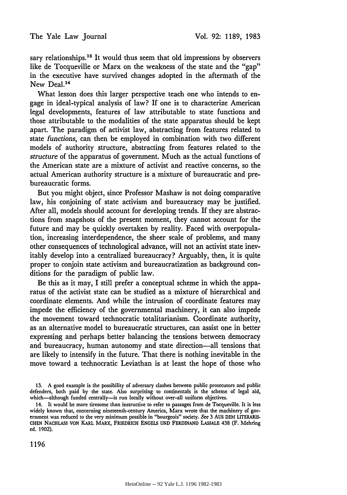sary relationships.<sup>13</sup> It would thus seem that old impressions by observers like de Tocqueville or Marx on the weakness of the state and the "gap" in the executive have survived changes adopted in the aftermath of the New Deal.<sup>14</sup>

What lesson does this larger perspective teach one who intends to engage in ideal-typical analysis of law? If one is to characterize American legal developments, features of law attributable to state functions and those attributable to the modalities of the state apparatus should be kept apart. The paradigm of activist law, abstracting from features related to state *functions,* can then be employed in combination with two different models of authority structure, abstracting from features related to the *structure* of the apparatus of government. Much as the actual functions of the American state are a mixture of activist and reactive concerns, so the actual American authority structure is a mixture of bureaucratic and prebureaucratic forms.

But you might object, since Professor Mashaw is not doing comparative law, his conjoining of state activism and bureaucracy may be justified. After all, models should account for developing trends. If they are abstractions from snapshots of the present moment, they cannot account for the future and may be quickly overtaken by reality. Faced with overpopulation, increasing interdependence, the sheer scale of problems, and many other consequences of technological advance, will not an activist state inevitably develop into a centralized bureaucracy? Arguably, then, it is quite proper to conjoin state activism and bureaucratization as background conditions for the paradigm of public law.

Be this as it may, I still prefer a conceptual scheme in which the apparatus of the activist state can be studied as a mixture of hierarchical and coordinate elements. And while the intrusion of coordinate features may impede the efficiency of the governmental machinery, it can also impede the movement toward technocratic totalitarianism. Coordinate authority, as an alternative model to bureaucratic structures, can assist one in better expressing and perhaps better balancing the tensions between democracy and bureaucracy, human autonomy and state direction-all tensions that are likely to intensify in the future. That there is nothing inevitable in the move toward a technocratic Leviathan is at least the hope of those who

**<sup>13.</sup>** A good example is the possibility of adversary clashes between public prosecutors and public defenders, both paid **by** the state. Also surprising to continentals is the scheme of legal aid, which-although funded centrally-is run locally without over-all uniform objectives.

<sup>14.</sup> It would be more tiresome than instructive to refer to passages from de Tocqueville. It is less widely known that, concerning nineteenth-century America, Marx wrote that the machinery of government was reduced to the very minimum possible in "bourgeois" society. *See* **3** AUS **DEM** LITERARIS-**CHEN NACHLASS** VON KARL MARX, FRIEDRICH **ENGELS UND FERDINAND** LASSALE 438 (F. Mehring ed. **1902).**